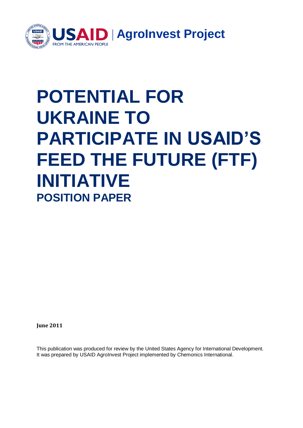

# **POTENTIAL FOR UKRAINE TO PARTICIPATE IN USAID'S FEED THE FUTURE (FTF) INITIATIVE POSITION PAPER**

**June 2011**

This publication was produced for review by the United States Agency for International Development. It was prepared by USAID AgroInvest Project implemented by Chemonics International.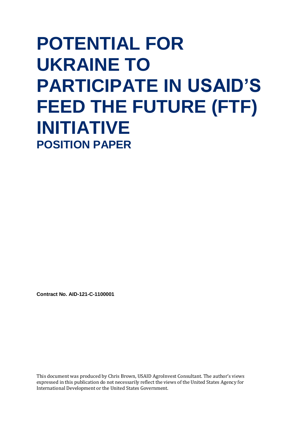# **POTENTIAL FOR UKRAINE TO PARTICIPATE IN USAID'S FEED THE FUTURE (FTF) INITIATIVE POSITION PAPER**

**Contract No. AID-121-C-1100001** 

This document was produced by Chris Brown, USAID AgroInvest Consultant. The author's views expressed in this publication do not necessarily reflect the views of the United States Agency for International Development or the United States Government.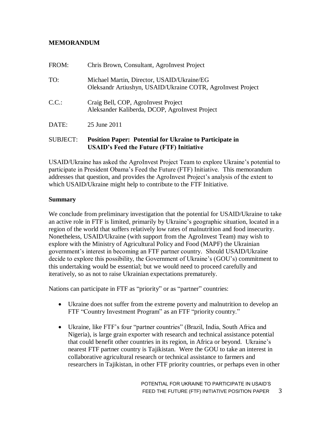### **MEMORANDUM**

| FROM:           | Chris Brown, Consultant, AgroInvest Project                                                               |
|-----------------|-----------------------------------------------------------------------------------------------------------|
| TO:             | Michael Martin, Director, USAID/Ukraine/EG<br>Oleksandr Artiushyn, USAID/Ukraine COTR, AgroInvest Project |
| C.C.            | Craig Bell, COP, AgroInvest Project<br>Aleksander Kaliberda, DCOP, AgroInvest Project                     |
| DATE:           | 25 June 2011                                                                                              |
| <b>SUBJECT:</b> | <b>Position Paper: Potential for Ukraine to Participate in</b>                                            |

**USAID's Feed the Future (FTF) Initiative** 

USAID/Ukraine has asked the AgroInvest Project Team to explore Ukraine's potential to participate in President Obama's Feed the Future (FTF) Initiative. This memorandum addresses that question, and provides the AgroInvest Project's analysis of the extent to which USAID/Ukraine might help to contribute to the FTF Initiative.

#### **Summary**

We conclude from preliminary investigation that the potential for USAID/Ukraine to take an active role in FTF is limited, primarily by Ukraine's geographic situation, located in a region of the world that suffers relatively low rates of malnutrition and food insecurity. Nonetheless, USAID/Ukraine (with support from the AgroInvest Team) may wish to explore with the Ministry of Agricultural Policy and Food (MAPF) the Ukrainian government's interest in becoming an FTF partner country. Should USAID/Ukraine decide to explore this possibility, the Government of Ukraine's (GOU's) commitment to this undertaking would be essential; but we would need to proceed carefully and iteratively, so as not to raise Ukrainian expectations prematurely.

Nations can participate in FTF as "priority" or as "partner" countries:

- Ukraine does not suffer from the extreme poverty and malnutrition to develop an FTF "Country Investment Program" as an FTF "priority country."
- Ukraine, like FTF's four "partner countries" (Brazil, India, South Africa and Nigeria), is large grain exporter with research and technical assistance potential that could benefit other countries in its region, in Africa or beyond. Ukraine's nearest FTF partner country is Tajikistan. Were the GOU to take an interest in collaborative agricultural research or technical assistance to farmers and researchers in Tajikistan, in other FTF priority countries, or perhaps even in other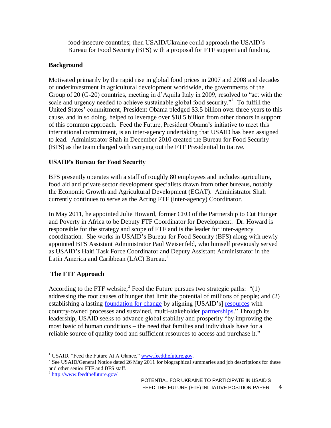food-insecure countries; then USAID/Ukraine could approach the USAID's Bureau for Food Security (BFS) with a proposal for FTF support and funding.

## **Background**

Motivated primarily by the rapid rise in global food prices in 2007 and 2008 and decades of underinvestment in agricultural development worldwide, the governments of the Group of 20 (G-20) countries, meeting in d'Aquila Italy in 2009, resolved to "act with the scale and urgency needed to achieve sustainable global food security."<sup>1</sup> To fulfill the United States' commitment, President Obama pledged \$3.5 billion over three years to this cause, and in so doing, helped to leverage over \$18.5 billion from other donors in support of this common approach. Feed the Future, President Obama's initiative to meet this international commitment, is an inter-agency undertaking that USAID has been assigned to lead. Administrator Shah in December 2010 created the Bureau for Food Security (BFS) as the team charged with carrying out the FTF Presidential Initiative.

## **USAID's Bureau for Food Security**

BFS presently operates with a staff of roughly 80 employees and includes agriculture, food aid and private sector development specialists drawn from other bureaus, notably the Economic Growth and Agricultural Development (EGAT). Administrator Shah currently continues to serve as the Acting FTF (inter-agency) Coordinator.

In May 2011, he appointed Julie Howard, former CEO of the Partnership to Cut Hunger and Poverty in Africa to be Deputy FTF Coordinator for Development. Dr. Howard is responsible for the strategy and scope of FTF and is the leader for inter-agency coordination. She works in USAID's Bureau for Food Security (BFS) along with newly appointed BFS Assistant Administrator Paul Weisenfeld, who himself previously served as USAID's Haiti Task Force Coordinator and Deputy Assistant Administrator in the Latin America and Caribbean (LAC) Bureau. $2$ 

# **The FTF Approach**

According to the FTF website,<sup>3</sup> Feed the Future pursues two strategic paths:  $"(1)$ addressing the root causes of hunger that limit the potential of millions of people; and (2) establishing a lasting [foundation for change](http://www.feedthefuture.gov/commitment.html) by aligning [USAID's] [resources](http://www.feedthefuture.gov/investment.html) with country-owned processes and sustained, multi-stakeholder [partnerships.](http://www.feedthefuture.gov/collaboration.html)" Through its leadership, USAID seeks to advance global stability and prosperity "by improving the most basic of human conditions – the need that families and individuals have for a reliable source of quality food and sufficient resources to access and purchase it."

l

<sup>&</sup>lt;sup>1</sup> USAID, "Feed the Future At A Glance," [www.feedthefuture.gov.](http://www.feedthefuture.gov/)

 $2^2$  See USAID/General Notice dated 26 May 2011 for biographical summaries and job descriptions for these and other senior FTF and BFS staff.

<sup>&</sup>lt;sup>3</sup> <http://www.feedthefuture.gov/>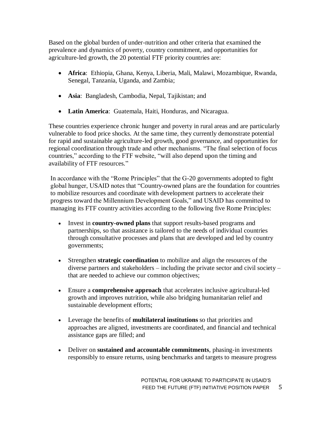Based on the global burden of under-nutrition and other criteria that examined the prevalence and dynamics of poverty, country commitment, and opportunities for agriculture-led growth, the 20 potential FTF priority countries are:

- **Africa**: Ethiopia, Ghana, Kenya, Liberia, Mali, Malawi, Mozambique, Rwanda, Senegal, Tanzania, Uganda, and Zambia;
- **Asia**: Bangladesh, Cambodia, Nepal, Tajikistan; and
- **Latin America**: Guatemala, Haiti, Honduras, and Nicaragua.

These countries experience chronic hunger and poverty in rural areas and are particularly vulnerable to food price shocks. At the same time, they currently demonstrate potential for rapid and sustainable agriculture-led growth, good governance, and opportunities for regional coordination through trade and other mechanisms. "The final selection of focus countries," according to the FTF website, "will also depend upon the timing and availability of FTF resources."

In accordance with the "Rome Principles" that the G-20 governments adopted to fight global hunger, USAID notes that "Country-owned plans are the foundation for countries to mobilize resources and coordinate with development partners to accelerate their progress toward the Millennium Development Goals," and USAID has committed to managing its FTF country activities according to the following five Rome Principles:

- Invest in **country-owned plans** that support results-based programs and partnerships, so that assistance is tailored to the needs of individual countries through consultative processes and plans that are developed and led by country governments;
- Strengthen **strategic coordination** to mobilize and align the resources of the diverse partners and stakeholders – including the private sector and civil society – that are needed to achieve our common objectives;
- Ensure a **comprehensive approach** that accelerates inclusive agricultural-led growth and improves nutrition, while also bridging humanitarian relief and sustainable development efforts;
- Leverage the benefits of **multilateral institutions** so that priorities and approaches are aligned, investments are coordinated, and financial and technical assistance gaps are filled; and
- Deliver on **sustained and accountable commitments**, phasing-in investments responsibly to ensure returns, using benchmarks and targets to measure progress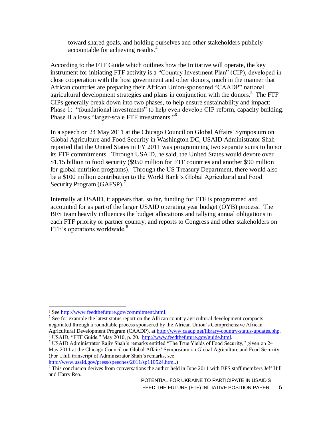toward shared goals, and holding ourselves and other stakeholders publicly accountable for achieving results.<sup>4</sup>

According to the FTF Guide which outlines how the Initiative will operate, the key instrument for initiating FTF activity is a "Country Investment Plan" (CIP), developed in close cooperation with the host government and other donors, much in the manner that African countries are preparing their African Union-sponsored "CAADP" national agricultural development strategies and plans in conjunction with the donors.<sup>5</sup> The FTF CIPs generally break down into two phases, to help ensure sustainability and impact: Phase 1: "foundational investments" to help even develop CIP reform, capacity building. Phase II allows "larger-scale FTF investments."<sup>6</sup>

In a speech on 24 May 2011 at the Chicago Council on Global Affairs' Symposium on Global Agriculture and Food Security in Washington DC, USAID Administrator Shah reported that the United States in FY 2011 was programming two separate sums to honor its FTF commitments. Through USAID, he said, the United States would devote over \$1.15 billion to food security (\$950 million for FTF countries and another \$90 million for global nutrition programs). Through the US Treasury Department, there would also be a \$100 million contribution to the World Bank's Global Agricultural and Food Security Program (GAFSP).<sup>7</sup>

Internally at USAID, it appears that, so far, funding for FTF is programmed and accounted for as part of the larger USAID operating year budget (OYB) process. The BFS team heavily influences the budget allocations and tallying annual obligations in each FTF priority or partner country, and reports to Congress and other stakeholders on FTF's operations worldwide.<sup>8</sup>

 $\overline{\phantom{a}}$ 

[http://www.usaid.gov/press/speeches/2011/sp110524.html.](http://www.usaid.gov/press/speeches/2011/sp110524.html))

<sup>4</sup> Se[e http://www.feedthefuture.gov/commitment.html.](http://www.feedthefuture.gov/commitment.html)

 $5$  See for example the latest status report on the African country agricultural development compacts negotiated through a roundtable process sponsored by the African Union's Comprehensive African Agricultural Development Program (CAADP), at [http://www.caadp.net/library-country-status-updates.php.](http://www.caadp.net/library-country-status-updates.php) <sup>6</sup> USAID, "FTF Guide," May 2010, p. 20. [http://www.feedthefuture.gov/guide.html.](http://www.feedthefuture.gov/guide.html)

<sup>&</sup>lt;sup>7</sup> USAID Administrator Rajiv Shah's remarks entitled "The True Yields of Food Security," given on 24 May 2011 at the Chicago Council on Global Affairs' Symposium on Global Agriculture and Food Security. (For a full transcript of Administrator Shah's remarks, see

<sup>&</sup>lt;sup>8</sup>This conclusion derives from conversations the author held in June 2011 with BFS staff members Jeff Hill and Harry Rea.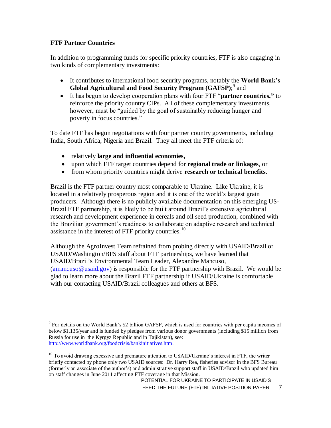### **FTF Partner Countries**

In addition to programming funds for specific priority countries, FTF is also engaging in two kinds of complementary investments:

- It contributes to international food security programs, notably the **World Bank's**  Global Agricultural and Food Security Program (GAFSP);<sup>9</sup> and
- It has begun to develop cooperation plans with four FTF "**partner countries,"** to reinforce the priority country CIPs. All of these complementary investments, however, must be "guided by the goal of sustainably reducing hunger and poverty in focus countries."

To date FTF has begun negotiations with four partner country governments, including India, South Africa, Nigeria and Brazil. They all meet the FTF criteria of:

- relatively **large and influential economies,**
- upon which FTF target countries depend for **regional trade or linkages**, or
- from whom priority countries might derive **research or technical benefits**.

Brazil is the FTF partner country most comparable to Ukraine. Like Ukraine, it is located in a relatively prosperous region and it is one of the world's largest grain producers. Although there is no publicly available documentation on this emerging US-Brazil FTF partnership, it is likely to be built around Brazil's extensive agricultural research and development experience in cereals and oil seed production, combined with the Brazilian government's readiness to collaborate on adaptive research and technical assistance in the interest of FTF priority countries.<sup>10</sup>

Although the AgroInvest Team refrained from probing directly with USAID/Brazil or USAID/Washington/BFS staff about FTF partnerships, we have learned that USAID/Brazil's Environmental Team Leader, Alexandre Mancuso,  $(annacuso@usaid.gov)$  is responsible for the FTF partnership with Brazil. We would be glad to learn more about the Brazil FTF partnership if USAID/Ukraine is comfortable with our contacting USAID/Brazil colleagues and others at BFS.

l <sup>9</sup> For details on the World Bank's \$2 billion GAFSP, which is used for countries with per capita incomes of below \$1,135/year and is funded by pledges from various donor governments (including \$15 million from Russia for use in the Kyrgyz Republic and in Tajikistan), see: [http://www.worldbank.org/foodcrisis/bankinitiatives.htm.](http://www.worldbank.org/foodcrisis/bankinitiatives.htm)

<sup>&</sup>lt;sup>10</sup> To avoid drawing excessive and premature attention to USAID/Ukraine's interest in FTF, the writer briefly contacted by phone only two USAID sources: Dr. Harry Rea, fisheries advisor in the BFS Bureau (formerly an associate of the author's) and administrative support staff in USAID/Brazil who updated him on staff changes in June 2011 affecting FTF coverage in that Mission.